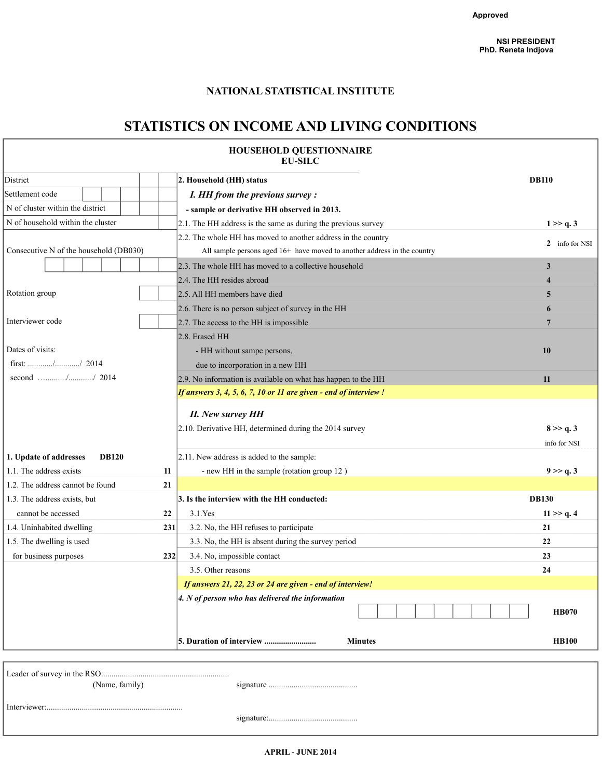# **NATIONAL STATISTICAL INSTITUTE**

# **STATISTICS ON INCOME AND LIVING CONDITIONS**

|                                                         |     | HOUSEHOLD QUESTIONNAIRE<br><b>EU-SILC</b>                                |                           |
|---------------------------------------------------------|-----|--------------------------------------------------------------------------|---------------------------|
| District                                                |     | 2. Household (HH) status                                                 | <b>DB110</b>              |
| Settlement code                                         |     | I. HH from the previous survey:                                          |                           |
| N of cluster within the district                        |     | - sample or derivative HH observed in 2013.                              |                           |
| N of household within the cluster                       |     | $2.1$ . The HH address is the same as during the previous survey         | 1 > > q.3                 |
|                                                         |     | 2.2. The whole HH has moved to another address in the country            |                           |
| Consecutive N of the household (DB030)                  |     | All sample persons aged 16+ have moved to another address in the country | 2 info for NSI            |
|                                                         |     | 2.3. The whole HH has moved to a collective household                    | 3                         |
|                                                         |     | 2.4. The HH resides abroad                                               | $\overline{\mathbf{4}}$   |
| Rotation group                                          |     | 2.5. All HH members have died                                            | 5                         |
|                                                         |     | 2.6. There is no person subject of survey in the HH                      | 6                         |
| Interviewer code                                        |     | 2.7. The access to the HH is impossible                                  | 7                         |
|                                                         |     | 2.8. Erased HH                                                           |                           |
| Dates of visits:                                        |     | - HH without sampe persons,                                              | 10                        |
| first: $\ldots$ , $\ldots$ , $\ldots$ , $\ldots$ , 2014 |     | due to incorporation in a new HH                                         |                           |
|                                                         |     | 2.9. No information is available on what has happen to the HH            | 11                        |
|                                                         |     | If answers 3, 4, 5, 6, 7, 10 or 11 are given - end of interview !        |                           |
|                                                         |     | <b>II.</b> New survey HH                                                 |                           |
|                                                         |     | 2.10. Derivative HH, determined during the 2014 survey                   | 8 > > q.3<br>info for NSI |
| 1. Update of addresses<br><b>DB120</b>                  |     | 2.11. New address is added to the sample:                                |                           |
| 1.1. The address exists                                 | 11  | - new HH in the sample (rotation group 12)                               | 9 >> q.3                  |
| 1.2. The address cannot be found                        | 21  |                                                                          |                           |
| 1.3. The address exists, but                            |     | 3. Is the interview with the HH conducted:                               | <b>DB130</b>              |
| cannot be accessed                                      | 22  | $3.1$ . Yes                                                              | 11 > q.4                  |
| 1.4. Uninhabited dwelling                               | 231 | 3.2. No, the HH refuses to participate                                   | 21                        |
| 1.5. The dwelling is used                               |     | 3.3. No, the HH is absent during the survey period                       | 22                        |
| for business purposes                                   | 232 | 3.4. No, impossible contact                                              | 23                        |
|                                                         |     | 3.5. Other reasons                                                       | 24                        |
|                                                         |     | If answers 21, 22, 23 or 24 are given - end of interview!                |                           |
|                                                         |     | $ 4. N$ of person who has delivered the information                      |                           |
|                                                         |     |                                                                          | <b>HB070</b>              |
|                                                         |     | 5. Duration of interview<br><b>Minutes</b>                               | <b>HB100</b>              |
|                                                         |     |                                                                          |                           |
|                                                         |     |                                                                          |                           |
| (Name, family)                                          |     |                                                                          |                           |
|                                                         |     |                                                                          |                           |

**APRIL - JUNE 2014**

signature:...........................................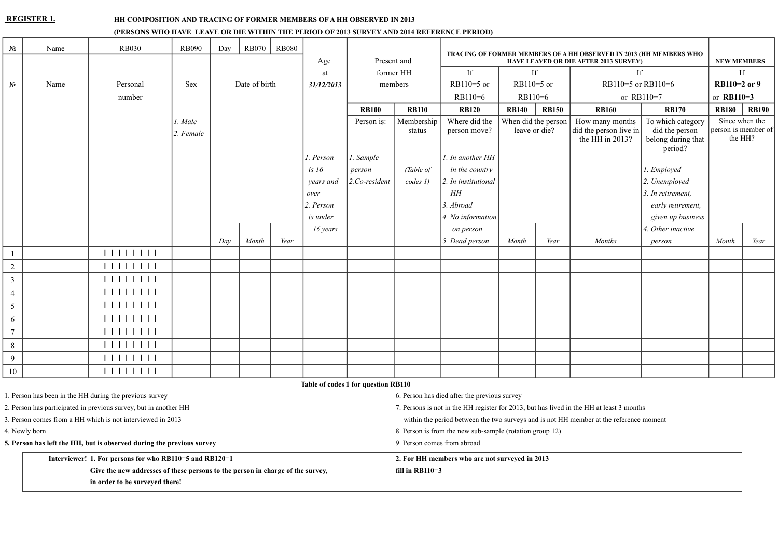#### **REGISTER 1. HH COMPOSITION AND TRACING OF FORMER MEMBERS OF A HH OBSERVED IN 2013**

#### **(PERSONS WHO HAVE LEAVE OR DIE WITHIN THE PERIOD OF 2013 SURVEY AND 2014 REFERENCE PERIOD)**

| $N_2$                                                            | Name | <b>RB030</b>                                                          | <b>RB090</b> | Day | <b>RB070</b>  | <b>RB080</b> |             |                                                          |                                                                                          | TRACING OF FORMER MEMBERS OF A HH OBSERVED IN 2013 (HH MEMBERS WHO |                                                                              |                                                                                                               |                                              |                             |                    |                                |  |  |  |  |  |  |
|------------------------------------------------------------------|------|-----------------------------------------------------------------------|--------------|-----|---------------|--------------|-------------|----------------------------------------------------------|------------------------------------------------------------------------------------------|--------------------------------------------------------------------|------------------------------------------------------------------------------|---------------------------------------------------------------------------------------------------------------|----------------------------------------------|-----------------------------|--------------------|--------------------------------|--|--|--|--|--|--|
|                                                                  |      |                                                                       |              |     |               |              | Age         | Present and                                              |                                                                                          |                                                                    |                                                                              |                                                                                                               | <b>HAVE LEAVED OR DIE AFTER 2013 SURVEY)</b> |                             | <b>NEW MEMBERS</b> |                                |  |  |  |  |  |  |
|                                                                  |      |                                                                       |              |     |               |              | at          |                                                          | former HH                                                                                | If                                                                 | If                                                                           |                                                                                                               | <b>If</b>                                    |                             |                    | If                             |  |  |  |  |  |  |
| $N_2$                                                            | Name | Personal                                                              | <b>Sex</b>   |     | Date of birth |              | 31/12/2013  |                                                          | members                                                                                  | $RB110=5$ or                                                       | $RB110=5$ or                                                                 |                                                                                                               |                                              | RB110=5 or RB110=6          |                    | RB110=2 or 9                   |  |  |  |  |  |  |
|                                                                  |      | number                                                                |              |     |               |              |             |                                                          |                                                                                          | RB110=6                                                            |                                                                              | RB110=6<br>or RB110=7                                                                                         |                                              |                             | or RB110=3         |                                |  |  |  |  |  |  |
|                                                                  |      |                                                                       |              |     |               |              |             | <b>RB100</b>                                             | <b>RB110</b>                                                                             | <b>RB120</b>                                                       | <b>RB140</b><br><b>RB150</b><br><b>RB160</b><br><b>RB170</b><br><b>RB180</b> |                                                                                                               |                                              |                             |                    | <b>RB190</b>                   |  |  |  |  |  |  |
|                                                                  |      |                                                                       | l. Male      |     |               |              |             | Person is:                                               | Membership                                                                               | Where did the                                                      | When did the person                                                          |                                                                                                               | How many months                              | To which category           |                    | Since when the                 |  |  |  |  |  |  |
|                                                                  |      |                                                                       | 2. Female    |     |               |              |             |                                                          | status                                                                                   | person move?                                                       |                                                                              | leave or die?<br>did the person live in<br>did the person<br>the HH in 2013?<br>belong during that<br>period? |                                              |                             |                    | person is member of<br>the HH? |  |  |  |  |  |  |
|                                                                  |      |                                                                       |              |     |               |              | 1. Person   | 1. Sample                                                |                                                                                          | 1. In another HH                                                   |                                                                              |                                                                                                               |                                              |                             |                    |                                |  |  |  |  |  |  |
|                                                                  |      |                                                                       |              |     |               |              | is $16$     | person                                                   | (Table of                                                                                | in the country                                                     |                                                                              |                                                                                                               |                                              | 1. Employed                 |                    |                                |  |  |  |  |  |  |
|                                                                  |      |                                                                       |              |     |               |              | years and   | 2.Co-resident                                            | codes 1)                                                                                 | 2. In institutional                                                |                                                                              |                                                                                                               |                                              | 2. Unemployed               |                    |                                |  |  |  |  |  |  |
|                                                                  |      |                                                                       |              |     |               |              | over        |                                                          |                                                                                          | HH                                                                 |                                                                              | 3. In retirement,                                                                                             |                                              |                             |                    |                                |  |  |  |  |  |  |
|                                                                  |      |                                                                       |              |     |               |              | $2.$ Person |                                                          |                                                                                          | 3. Abroad                                                          |                                                                              |                                                                                                               |                                              | early retirement,           |                    |                                |  |  |  |  |  |  |
|                                                                  |      |                                                                       |              |     |               |              | is under    |                                                          |                                                                                          | 4. No information                                                  |                                                                              |                                                                                                               |                                              | given up business           |                    |                                |  |  |  |  |  |  |
|                                                                  |      |                                                                       |              |     |               |              | 16 years    |                                                          |                                                                                          | on person                                                          |                                                                              |                                                                                                               |                                              | 4. Other inactive           |                    |                                |  |  |  |  |  |  |
|                                                                  |      |                                                                       |              | Day | Month         | Year         |             |                                                          |                                                                                          | 5. Dead person                                                     | Month                                                                        | Year                                                                                                          | <b>Months</b>                                | person                      | Month              | Year                           |  |  |  |  |  |  |
|                                                                  |      | 11111111                                                              |              |     |               |              |             |                                                          |                                                                                          |                                                                    |                                                                              |                                                                                                               |                                              |                             |                    |                                |  |  |  |  |  |  |
| $\overline{c}$                                                   |      | 11111111                                                              |              |     |               |              |             |                                                          |                                                                                          |                                                                    |                                                                              |                                                                                                               |                                              |                             |                    |                                |  |  |  |  |  |  |
| $\overline{3}$                                                   |      | 111111111                                                             |              |     |               |              |             |                                                          |                                                                                          |                                                                    |                                                                              |                                                                                                               |                                              |                             |                    |                                |  |  |  |  |  |  |
| 4                                                                |      | 111111111                                                             |              |     |               |              |             |                                                          |                                                                                          |                                                                    |                                                                              |                                                                                                               |                                              |                             |                    |                                |  |  |  |  |  |  |
| 5                                                                |      | 111111111                                                             |              |     |               |              |             |                                                          |                                                                                          |                                                                    |                                                                              |                                                                                                               |                                              |                             |                    |                                |  |  |  |  |  |  |
| 6                                                                |      | 111111111                                                             |              |     |               |              |             |                                                          |                                                                                          |                                                                    |                                                                              |                                                                                                               |                                              |                             |                    |                                |  |  |  |  |  |  |
| $\tau$                                                           |      | 111111111                                                             |              |     |               |              |             |                                                          |                                                                                          |                                                                    |                                                                              |                                                                                                               |                                              |                             |                    |                                |  |  |  |  |  |  |
| 8                                                                |      | 111111111                                                             |              |     |               |              |             |                                                          |                                                                                          |                                                                    |                                                                              |                                                                                                               |                                              |                             |                    |                                |  |  |  |  |  |  |
| 9                                                                |      | 11111111                                                              |              |     |               |              |             |                                                          |                                                                                          |                                                                    |                                                                              |                                                                                                               |                                              |                             |                    |                                |  |  |  |  |  |  |
| $10\,$                                                           |      | 11111111                                                              |              |     |               |              |             |                                                          |                                                                                          |                                                                    |                                                                              |                                                                                                               |                                              |                             |                    |                                |  |  |  |  |  |  |
|                                                                  |      |                                                                       |              |     |               |              |             | Table of codes 1 for question RB110                      |                                                                                          |                                                                    |                                                                              |                                                                                                               |                                              |                             |                    |                                |  |  |  |  |  |  |
| 1. Person has been in the HH during the previous survey          |      |                                                                       |              |     |               |              |             |                                                          |                                                                                          | 6. Person has died after the previous survey                       |                                                                              |                                                                                                               |                                              |                             |                    |                                |  |  |  |  |  |  |
| 2. Person has participated in previous survey, but in another HH |      |                                                                       |              |     |               |              |             |                                                          | 7. Persons is not in the HH register for 2013, but has lived in the HH at least 3 months |                                                                    |                                                                              |                                                                                                               |                                              |                             |                    |                                |  |  |  |  |  |  |
|                                                                  |      | 3. Person comes from a HH which is not interviewed in 2013            |              |     |               |              |             |                                                          | within the period between the two surveys and is not HH member at the reference moment   |                                                                    |                                                                              |                                                                                                               |                                              |                             |                    |                                |  |  |  |  |  |  |
| 4. Newly born                                                    |      |                                                                       |              |     |               |              |             | 8. Person is from the new sub-sample (rotation group 12) |                                                                                          |                                                                    |                                                                              |                                                                                                               |                                              |                             |                    |                                |  |  |  |  |  |  |
|                                                                  |      | 5. Person has left the HH, but is observed during the previous survey |              |     |               |              |             |                                                          |                                                                                          |                                                                    |                                                                              |                                                                                                               |                                              | 9. Person comes from abroad |                    |                                |  |  |  |  |  |  |

**Interviewer! 1. For persons for who RB110=5 and RB120=1 2. For HH members who are not surveyed in 2013**

Give the new addresses of these persons to the person in charge of the survey, fill in RB110=3 **in order to be surveyed there!**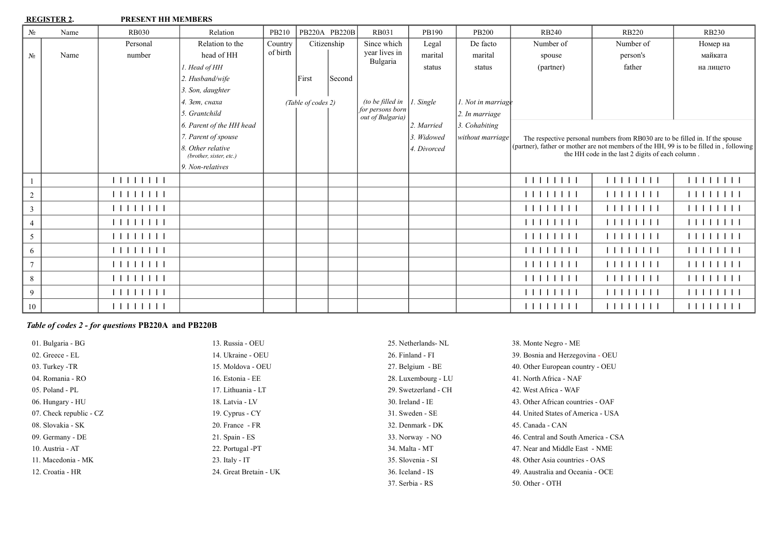**REGISTER 2. PRESENT HH MEMBERS** 

| $N_2$          | Name | <b>RB030</b> | Relation                                     | PB210    | PB220A PB220B      |        | <b>RB031</b>                         | PB190        | <b>PB200</b>       | <b>RB240</b> | <b>RB220</b>                                                                  | <b>RB230</b>                                                                            |
|----------------|------|--------------|----------------------------------------------|----------|--------------------|--------|--------------------------------------|--------------|--------------------|--------------|-------------------------------------------------------------------------------|-----------------------------------------------------------------------------------------|
|                |      | Personal     | Relation to the                              | Country  | Citizenship        |        | Since which                          | Legal        | De facto           | Number of    | Number of                                                                     | Номер на                                                                                |
| No.            | Name | number       | head of HH                                   | of birth |                    |        | year lives in                        | marital      | marital            | spouse       | person's                                                                      | майката                                                                                 |
|                |      |              | 1. Head of HH                                |          |                    |        | Bulgaria                             | status       | status             | (partner)    | father                                                                        | на лицето                                                                               |
|                |      |              | 2. Husband/wife                              |          | First              | Second |                                      |              |                    |              |                                                                               |                                                                                         |
|                |      |              | 3. Son, daughter                             |          |                    |        |                                      |              |                    |              |                                                                               |                                                                                         |
|                |      |              | 4. Зет, снаха                                |          | (Table of codes 2) |        | (to be filled in                     | 1. Single    | 1. Not in marriage |              |                                                                               |                                                                                         |
|                |      |              | 5. Grantchild                                |          |                    |        | for persons born<br>out of Bulgaria) |              | 2. In marriage     |              |                                                                               |                                                                                         |
|                |      |              | 6. Parent of the HH head                     |          |                    |        |                                      | 2. Married   | 3. Cohabiting      |              |                                                                               |                                                                                         |
|                |      |              | 7. Parent of spouse                          |          |                    |        |                                      | 3. Widowed   | without marriage   |              | The respective personal numbers from RB030 are to be filled in. If the spouse |                                                                                         |
|                |      |              | 8. Other relative<br>(brother, sister, etc.) |          |                    |        |                                      | 14. Divorced |                    |              | the HH code in the last 2 digits of each column.                              | (partner), father or mother are not members of the HH, 99 is to be filled in, following |
|                |      |              | 9. Non-relatives                             |          |                    |        |                                      |              |                    |              |                                                                               |                                                                                         |
|                |      | 11111111     |                                              |          |                    |        |                                      |              |                    | 11111111     | 11111111                                                                      | 111111111                                                                               |
| $\overline{c}$ |      |              |                                              |          |                    |        |                                      |              |                    | 111111111    | 111111111                                                                     | 111111111                                                                               |
| $\overline{3}$ |      | 11111111     |                                              |          |                    |        |                                      |              |                    | 111111111    | 111111111                                                                     | 111111111                                                                               |
| $\overline{4}$ |      |              |                                              |          |                    |        |                                      |              |                    | 111111111    |                                                                               | 111111111                                                                               |
| 5              |      |              |                                              |          |                    |        |                                      |              |                    | 111111111    |                                                                               | 111111111                                                                               |
| 6              |      |              |                                              |          |                    |        |                                      |              |                    | 111111111    | 111111111                                                                     | 111111111                                                                               |
| $\overline{7}$ |      |              |                                              |          |                    |        |                                      |              |                    | 11111111     | 1111111                                                                       | 111111111                                                                               |
| 8              |      |              |                                              |          |                    |        |                                      |              |                    | 111111111    |                                                                               | 111111111                                                                               |
| 9              |      |              |                                              |          |                    |        |                                      |              |                    | 11111111     | 111111111                                                                     | 111111111                                                                               |
| 10             |      | 11111111     |                                              |          |                    |        |                                      |              |                    | 111111111    |                                                                               |                                                                                         |

# *Table of codes 2 - for questions* **PB220A and PB220B**

| 01. Bulgaria - BG       | 13. Russia - OEU       | 25. Netherlands- NL  | 38. Monte Negro - ME                |
|-------------------------|------------------------|----------------------|-------------------------------------|
| 02. Greece - EL         | 14. Ukraine - OEU      | 26. Finland - FI     | 39. Bosnia and Herzegovina - OEU    |
| 03. Turkey -TR          | 15. Moldova - OEU      | 27. Belgium - BE     | 40. Other European country - OEU    |
| 04. Romania - RO        | 16. Estonia - EE       | 28. Luxembourg - LU  | 41. North Africa - NAF              |
| 05. Poland - PL         | 17. Lithuania - LT     | 29. Swetzerland - CH | 42. West Africa - WAF               |
| 06. Hungary - HU        | 18. Latvia - LV        | 30. Ireland - IE     | 43. Other African countries - OAF   |
| 07. Check republic - CZ | 19. Cyprus - CY        | 31. Sweden - SE      | 44. United States of America - USA  |
| 08. Slovakia - SK       | 20. France - FR        | 32. Denmark - DK     | 45. Canada - CAN                    |
| 09. Germany - DE        | $21.$ Spain - $ES$     | 33. Norway - NO      | 46. Central and South America - CSA |
| 10. Austria - AT        | 22. Portugal -PT       | 34. Malta - MT       | 47. Near and Middle East - NME      |
| 11. Macedonia - MK      | $23.$ Italy - IT       | 35. Slovenia - SI    | 48. Other Asia countries - OAS      |
| 12. Croatia - HR        | 24. Great Bretain - UK | 36. Iceland - IS     | 49. Aaustralia and Oceania - OCE    |
|                         |                        | 37. Serbia - RS      | 50. Other - OTH                     |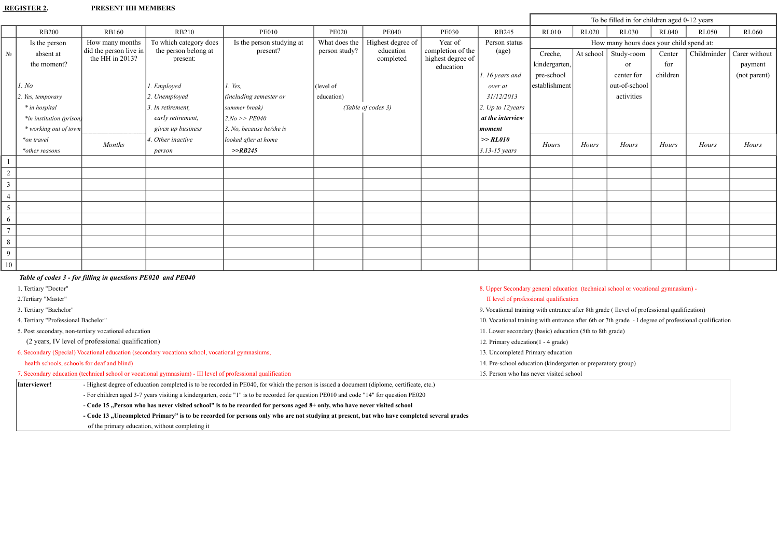## **REGISTER 2. PRESENT HH MEMBERS**

|                |                          |                                              |                                  |                                 |               |                        |                                        |                             |               |              | To be filled in for children aged 0-12 years |              |              |               |
|----------------|--------------------------|----------------------------------------------|----------------------------------|---------------------------------|---------------|------------------------|----------------------------------------|-----------------------------|---------------|--------------|----------------------------------------------|--------------|--------------|---------------|
|                | <b>RB200</b>             | <b>RB160</b>                                 | RB210                            | <b>PE010</b>                    | <b>PE020</b>  | <b>PE040</b>           | <b>PE030</b>                           | <b>RB245</b>                | <b>RL010</b>  | <b>RL020</b> | <b>RL030</b>                                 | <b>RL040</b> | <b>RL050</b> | RL060         |
|                | Is the person            | How many months                              | To which category does           | Is the person studying at       | What does the | Highest degree of      | Year of                                | Person status               |               |              | How many hours does your child spend at:     |              |              |               |
| $N_2$          | absent at                | did the person live in<br>the HH in $2013$ ? | the person belong at<br>present: | present?                        | person study? | education<br>completed | completion of the<br>highest degree of | $\left( \text{age} \right)$ | Creche,       |              | At school   Study-room                       | Center       | Childminder  | Carer without |
|                | the moment?              |                                              |                                  |                                 |               |                        | education                              |                             | kindergarten, |              | <sub>or</sub>                                | for          |              | payment       |
|                |                          |                                              |                                  |                                 |               |                        |                                        | 1.16 years and              | pre-school    |              | center for                                   | children     |              | (not parent)  |
|                | 1. No                    |                                              | 1. Employed                      | $1.$ Yes.                       | (level of     |                        |                                        | over at                     | establishment |              | out-of-school                                |              |              |               |
|                | 2. Yes, temporary        |                                              | 2. Unemployed                    | (including semester or          | education)    |                        |                                        | 31/12/2013                  |               |              | activities                                   |              |              |               |
|                | * in hospital            |                                              | 3. In retirement,                | summer break)                   |               | (Table of codes 3)     |                                        | 2. Up to 12years            |               |              |                                              |              |              |               |
|                | *in institution (prison) |                                              | early retirement,                | 2. No >> PE040                  |               |                        |                                        | at the interview            |               |              |                                              |              |              |               |
|                | * working out of town    |                                              | given up business                | $\beta$ . No, because he/she is |               |                        |                                        | moment                      |               |              |                                              |              |              |               |
|                | *on travel               | <b>Months</b>                                | 4. Other inactive                | looked after at home            |               |                        |                                        | >> RLO10                    | Hours         | Hours        | Hours                                        | Hours        | Hours        | Hours         |
|                | *other reasons           |                                              | person                           | >>RB245                         |               |                        |                                        | $3.13 - 15$ years           |               |              |                                              |              |              |               |
|                |                          |                                              |                                  |                                 |               |                        |                                        |                             |               |              |                                              |              |              |               |
| $\overline{2}$ |                          |                                              |                                  |                                 |               |                        |                                        |                             |               |              |                                              |              |              |               |
| $\mathfrak{Z}$ |                          |                                              |                                  |                                 |               |                        |                                        |                             |               |              |                                              |              |              |               |
| $\overline{4}$ |                          |                                              |                                  |                                 |               |                        |                                        |                             |               |              |                                              |              |              |               |
| 5              |                          |                                              |                                  |                                 |               |                        |                                        |                             |               |              |                                              |              |              |               |
| 6              |                          |                                              |                                  |                                 |               |                        |                                        |                             |               |              |                                              |              |              |               |
| $\overline{7}$ |                          |                                              |                                  |                                 |               |                        |                                        |                             |               |              |                                              |              |              |               |
| $\,$ 8 $\,$    |                          |                                              |                                  |                                 |               |                        |                                        |                             |               |              |                                              |              |              |               |
| $\overline{9}$ |                          |                                              |                                  |                                 |               |                        |                                        |                             |               |              |                                              |              |              |               |
| 10             |                          |                                              |                                  |                                 |               |                        |                                        |                             |               |              |                                              |              |              |               |

### *Table of codes 3 - for filling in questions PE020 and PE040*

| 1. Tertiary "Doctor"                |                                                                                                                                            | 8. Upper Secondary general education (technical school or vocational gymnasium) -                     |
|-------------------------------------|--------------------------------------------------------------------------------------------------------------------------------------------|-------------------------------------------------------------------------------------------------------|
| 2. Tertiary "Master"                |                                                                                                                                            | II level of professional qualification                                                                |
| 3. Tertiary "Bachelor"              |                                                                                                                                            | 9. Vocational training with entrance after 8th grade (Ilevel of professional qualification)           |
| 4. Tertiary "Professional Bachelor" |                                                                                                                                            | 10. Vocational training with entrance after 6th or 7th grade - I degree of professional qualification |
|                                     | 5. Post secondary, non-tertiary vocational education                                                                                       | 11. Lower secondary (basic) education (5th to 8th grade)                                              |
|                                     | (2 years, IV level of professional qualification)                                                                                          | 12. Primary education(1 - 4 grade)                                                                    |
|                                     | 6. Secondary (Special) Vocational education (secondary vocationa school, vocational gymnasiums,                                            | 13. Uncompleted Primary education                                                                     |
|                                     | health schools, schools for deaf and blind)                                                                                                | 14. Pre-school education (kindergarten or preparatory group)                                          |
|                                     | 7. Secondary education (technical school or vocational gymnasium) - III level of professional qualification                                | 15. Person who has never visited school                                                               |
| Interviewer!                        | - Highest degree of education completed is to be recorded in PE040, for which the person is issued a document (diplome, certificate, etc.) |                                                                                                       |
|                                     | - For children aged 3-7 years visiting a kindergarten, code "1" is to be recorded for question PE010 and code "14" for question PE020      |                                                                                                       |
|                                     | - Code 15 "Person who has never visited school" is to be recorded for persons aged 8+ only, who have never visited school                  |                                                                                                       |
|                                     | - Code 13 "Uncompleted Primary" is to be recorded for persons only who are not studying at present, but who have completed several grades  |                                                                                                       |
|                                     |                                                                                                                                            |                                                                                                       |

of the primary education, without completing it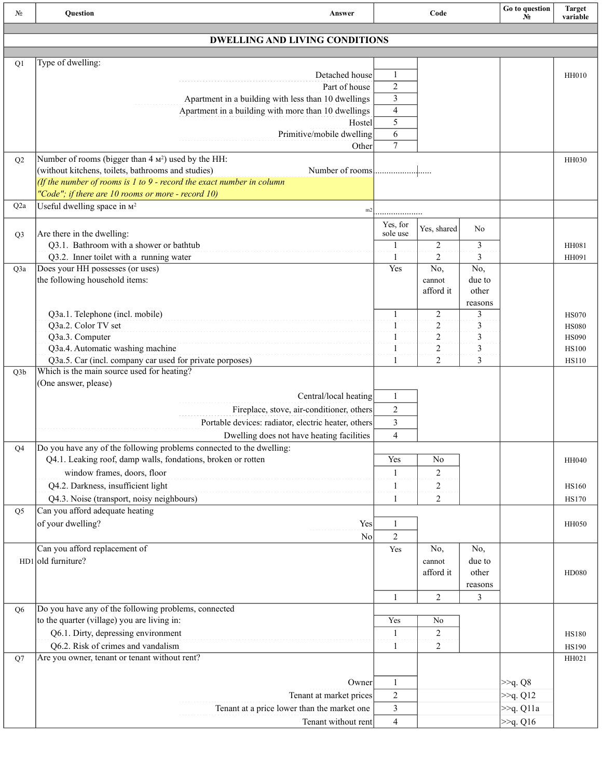| No.              | Question<br>Answer                                                        |                | Code                |                 | Go to question<br>No. | <b>Target</b><br>variable |
|------------------|---------------------------------------------------------------------------|----------------|---------------------|-----------------|-----------------------|---------------------------|
|                  | <b>DWELLING AND LIVING CONDITIONS</b>                                     |                |                     |                 |                       |                           |
|                  |                                                                           |                |                     |                 |                       |                           |
| Q1               | Type of dwelling:                                                         |                |                     |                 |                       |                           |
|                  | Detached house                                                            | 1              |                     |                 |                       | <b>HH010</b>              |
|                  | Part of house                                                             | $\overline{c}$ |                     |                 |                       |                           |
|                  | Apartment in a building with less than 10 dwellings                       | 3<br>4         |                     |                 |                       |                           |
|                  | Apartment in a building with more than 10 dwellings<br>Hostel             | 5              |                     |                 |                       |                           |
|                  | Primitive/mobile dwelling                                                 | 6              |                     |                 |                       |                           |
|                  | Other                                                                     | $\overline{7}$ |                     |                 |                       |                           |
| Q2               | Number of rooms (bigger than 4 M <sup>2</sup> ) used by the HH:           |                |                     |                 |                       | <b>HH030</b>              |
|                  | (without kitchens, toilets, bathrooms and studies)                        |                |                     |                 |                       |                           |
|                  | (If the number of rooms is $1$ to $9$ - record the exact number in column |                |                     |                 |                       |                           |
|                  | "Code"; if there are $10$ rooms or more - record $10$ )                   |                |                     |                 |                       |                           |
| Q <sub>2</sub> a | Useful dwelling space in $M^2$<br>m2                                      |                |                     |                 |                       |                           |
|                  |                                                                           | Yes, for       | Yes, shared         | No              |                       |                           |
| Q <sub>3</sub>   | Are there in the dwelling:                                                | sole use       |                     |                 |                       |                           |
|                  | Q3.1. Bathroom with a shower or bathtub                                   | 1              | 2                   | 3               |                       | HH081                     |
|                  | Q3.2. Inner toilet with a running water                                   | 1              | 2                   | 3               |                       | HH091                     |
| Q3a              | Does your HH possesses (or uses)                                          | Yes            | No,                 | No,             |                       |                           |
|                  | the following household items:                                            |                | cannot<br>afford it | due to<br>other |                       |                           |
|                  |                                                                           |                |                     | reasons         |                       |                           |
|                  | Q3a.1. Telephone (incl. mobile)                                           | 1              | 2                   | 3               |                       | <b>HS070</b>              |
|                  | Q3a.2. Color TV set                                                       | 1              | $\overline{c}$      | 3               |                       | <b>HS080</b>              |
|                  | Q3a.3. Computer                                                           | 1              | $\overline{c}$      | 3               |                       | <b>HS090</b>              |
|                  | Q3a.4. Automatic washing machine                                          | 1              | $\overline{c}$      | 3               |                       | <b>HS100</b>              |
|                  | Q3a.5. Car (incl. company car used for private porposes)                  | 1              | 2                   | 3               |                       | <b>HS110</b>              |
| Q <sub>3</sub> b | Which is the main source used for heating?                                |                |                     |                 |                       |                           |
|                  | (One answer, please)                                                      |                |                     |                 |                       |                           |
|                  | Central/local heating                                                     | $\mathbf{1}$   |                     |                 |                       |                           |
|                  | Fireplace, stove, air-conditioner, others                                 | $\sqrt{2}$     |                     |                 |                       |                           |
|                  | Portable devices: radiator, electric heater, others                       | 3              |                     |                 |                       |                           |
|                  | Dwelling does not have heating facilities                                 | $\overline{4}$ |                     |                 |                       |                           |
| Q4               | Do you have any of the following problems connected to the dwelling:      |                |                     |                 |                       |                           |
|                  | Q4.1. Leaking roof, damp walls, fondations, broken or rotten              | Yes            | No                  |                 |                       | HH040                     |
|                  | window frames, doors, floor                                               | 1              | $\overline{2}$      |                 |                       |                           |
|                  | Q4.2. Darkness, insufficient light                                        | 1              | $\overline{2}$      |                 |                       | <b>HS160</b>              |
|                  | Q4.3. Noise (transport, noisy neighbours)                                 | 1              | 2                   |                 |                       | <b>HS170</b>              |
| Q <sub>5</sub>   | Can you afford adequate heating                                           |                |                     |                 |                       |                           |
|                  | of your dwelling?<br>Yes                                                  | 1              |                     |                 |                       | <b>HH050</b>              |
|                  | No                                                                        | $\overline{2}$ |                     |                 |                       |                           |
|                  | Can you afford replacement of                                             | Yes            | No,                 | No,             |                       |                           |
|                  | $HD1$ old furniture?                                                      |                | cannot<br>afford it | due to<br>other |                       |                           |
|                  |                                                                           |                |                     | reasons         |                       | <b>HD080</b>              |
|                  |                                                                           | 1              | $\overline{2}$      | 3               |                       |                           |
| Q <sub>6</sub>   | Do you have any of the following problems, connected                      |                |                     |                 |                       |                           |
|                  | to the quarter (village) you are living in:                               | Yes            | N <sub>0</sub>      |                 |                       |                           |
|                  | Q6.1. Dirty, depressing environment                                       | 1              | 2                   |                 |                       | <b>HS180</b>              |
|                  | Q6.2. Risk of crimes and vandalism                                        | 1              | $\overline{2}$      |                 |                       | <b>HS190</b>              |
| Q7               | Are you owner, tenant or tenant without rent?                             |                |                     |                 |                       | HH021                     |
|                  |                                                                           |                |                     |                 |                       |                           |
|                  | Owner                                                                     | $\mathbf{1}$   |                     |                 | $\gg q$ . Q8          |                           |
|                  | Tenant at market prices                                                   | $\overline{c}$ |                     |                 | $>q$ . Q12            |                           |
|                  | Tenant at a price lower than the market one                               | 3              |                     |                 | >>q. Q11a             |                           |
|                  | Tenant without rent                                                       | $\overline{4}$ |                     |                 | $>q$ . Q16            |                           |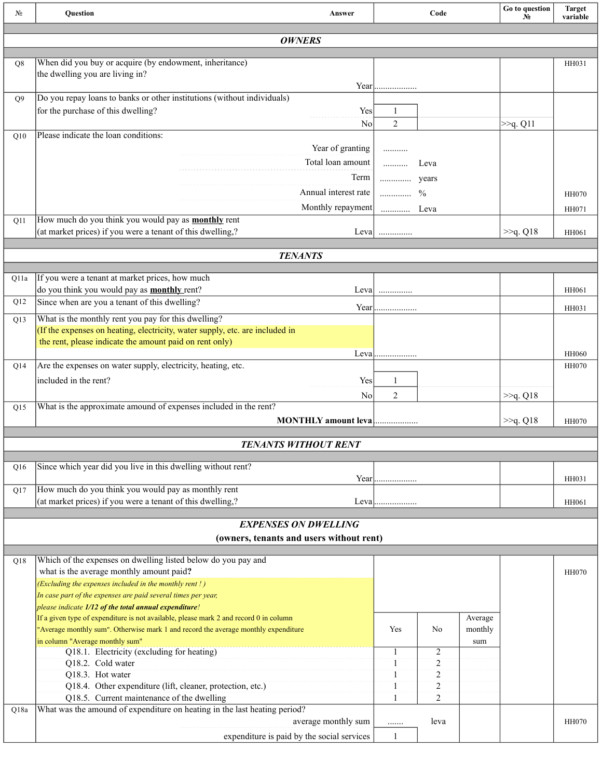| N <sub>2</sub> | Question                                                                                                                                                                    | Answer                                     |                | Code           |                    | Go to question<br>$N_2$ | <b>Target</b><br>variable |
|----------------|-----------------------------------------------------------------------------------------------------------------------------------------------------------------------------|--------------------------------------------|----------------|----------------|--------------------|-------------------------|---------------------------|
|                |                                                                                                                                                                             | <b>OWNERS</b>                              |                |                |                    |                         |                           |
| Q8             | When did you buy or acquire (by endowment, inheritance)                                                                                                                     |                                            |                |                |                    |                         | HH031                     |
|                | the dwelling you are living in?                                                                                                                                             |                                            |                |                |                    |                         |                           |
|                | Do you repay loans to banks or other institutions (without individuals)                                                                                                     |                                            |                |                |                    |                         |                           |
| Q <sub>9</sub> | for the purchase of this dwelling?                                                                                                                                          | Yes                                        | 1              |                |                    |                         |                           |
|                |                                                                                                                                                                             | N <sub>o</sub>                             | $\overline{2}$ |                |                    | >>q. Q11                |                           |
| Q10            | Please indicate the loan conditions:                                                                                                                                        |                                            |                |                |                    |                         |                           |
|                |                                                                                                                                                                             | Year of granting                           |                |                |                    |                         |                           |
|                |                                                                                                                                                                             | Total loan amount                          | .              | Leva           |                    |                         |                           |
|                |                                                                                                                                                                             | Term                                       | vears          |                |                    |                         |                           |
|                |                                                                                                                                                                             | Annual interest rate                       | .              | $\frac{0}{0}$  |                    |                         | <b>HH070</b>              |
| Q11            | How much do you think you would pay as <b>monthly</b> rent                                                                                                                  | Monthly repayment                          | .              | Leva           |                    |                         | HH071                     |
|                | (at market prices) if you were a tenant of this dwelling,?                                                                                                                  |                                            |                |                |                    | $\gg q$ . Q18           | HH061                     |
|                |                                                                                                                                                                             |                                            |                |                |                    |                         |                           |
|                |                                                                                                                                                                             | <b>TENANTS</b>                             |                |                |                    |                         |                           |
| Q11a           | If you were a tenant at market prices, how much                                                                                                                             |                                            |                |                |                    |                         |                           |
|                | do you think you would pay as <b>monthly</b> rent?                                                                                                                          | Leva                                       | .              |                |                    |                         | HH061                     |
| Q12            | Since when are you a tenant of this dwelling?                                                                                                                               |                                            |                |                |                    |                         | HH031                     |
| Q13            | What is the monthly rent you pay for this dwelling?<br>(If the expenses on heating, electricity, water supply, etc. are included in                                         |                                            |                |                |                    |                         |                           |
|                | the rent, please indicate the amount paid on rent only)                                                                                                                     |                                            |                |                |                    |                         |                           |
|                |                                                                                                                                                                             |                                            | Leva           |                |                    |                         | <b>HH060</b>              |
| Q14            | Are the expenses on water supply, electricity, heating, etc.                                                                                                                |                                            |                |                |                    |                         | <b>HH070</b>              |
|                | included in the rent?                                                                                                                                                       | Yes                                        | 1              |                |                    |                         |                           |
| Q15            | What is the approximate amound of expenses included in the rent?                                                                                                            | N <sub>0</sub>                             | 2              |                |                    | >>q. Q18                |                           |
|                |                                                                                                                                                                             | MONTHLY amount leva                        |                |                |                    | $\gg q$ . Q18           | <b>HH070</b>              |
|                |                                                                                                                                                                             |                                            |                |                |                    |                         |                           |
|                |                                                                                                                                                                             | <b>TENANTS WITHOUT RENT</b>                |                |                |                    |                         |                           |
| Q16            | Since which year did you live in this dwelling without rent?                                                                                                                |                                            |                |                |                    |                         |                           |
| Q17            | How much do you think you would pay as monthly rent                                                                                                                         |                                            | Year           |                |                    |                         | HH031                     |
|                | (at market prices) if you were a tenant of this dwelling,?                                                                                                                  |                                            | Leva           |                |                    |                         | HH061                     |
|                |                                                                                                                                                                             |                                            |                |                |                    |                         |                           |
|                | (owners, tenants and users without rent)                                                                                                                                    | <b>EXPENSES ON DWELLING</b>                |                |                |                    |                         |                           |
|                |                                                                                                                                                                             |                                            |                |                |                    |                         |                           |
| Q18            | Which of the expenses on dwelling listed below do you pay and                                                                                                               |                                            |                |                |                    |                         |                           |
|                | what is the average monthly amount paid?<br>(Excluding the expenses included in the monthly rent !)                                                                         |                                            |                |                |                    |                         | <b>HH070</b>              |
|                | In case part of the expenses are paid several times per year,                                                                                                               |                                            |                |                |                    |                         |                           |
|                | please indicate 1/12 of the total annual expenditure!                                                                                                                       |                                            |                |                |                    |                         |                           |
|                | If a given type of expenditure is not available, please mark 2 and record 0 in column<br>"Average monthly sum". Otherwise mark 1 and record the average monthly expenditure |                                            | Yes            | No             | Average<br>monthly |                         |                           |
|                | in column "Average monthly sum"                                                                                                                                             |                                            |                |                | sum                |                         |                           |
|                | Q18.1. Electricity (excluding for heating)<br>Q18.2. Cold water                                                                                                             |                                            | 1<br>1         | 2<br>2         |                    |                         |                           |
|                | Q18.3. Hot water                                                                                                                                                            |                                            |                | $\overline{c}$ |                    |                         |                           |
|                | Q18.4. Other expenditure (lift, cleaner, protection, etc.)                                                                                                                  |                                            |                | $\overline{2}$ |                    |                         |                           |
|                | Q18.5. Current maintenance of the dwelling                                                                                                                                  |                                            |                | 2              |                    |                         |                           |
| Q18a           | What was the amound of expenditure on heating in the last heating period?                                                                                                   | average monthly sum                        | .              | leva           |                    |                         | <b>HH070</b>              |
|                |                                                                                                                                                                             | expenditure is paid by the social services | $\mathbf{1}$   |                |                    |                         |                           |
|                |                                                                                                                                                                             |                                            |                |                |                    |                         |                           |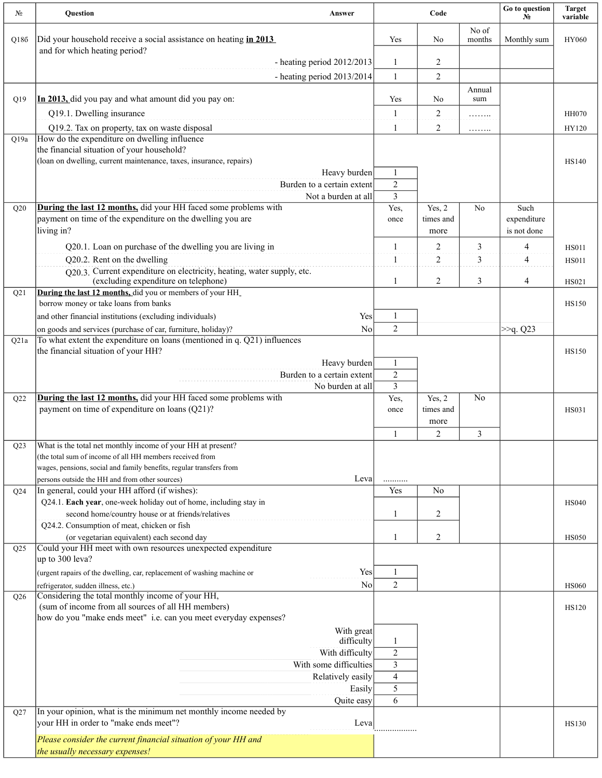| N <sub>2</sub> | Question                                                                                                                                 | Answer                                         |                                  | Code                   |                 | Go to question<br>$N_2$    | <b>Target</b><br>variable |
|----------------|------------------------------------------------------------------------------------------------------------------------------------------|------------------------------------------------|----------------------------------|------------------------|-----------------|----------------------------|---------------------------|
| Q186           | Did your household receive a social assistance on heating in 2013<br>and for which heating period?                                       |                                                | Yes                              | No                     | No of<br>months | Monthly sum                | HY060                     |
|                |                                                                                                                                          | - heating period $2012/2013$                   | 1                                | 2                      |                 |                            |                           |
|                |                                                                                                                                          | - heating period 2013/2014                     | $\mathbf{1}$                     | $\overline{c}$         |                 |                            |                           |
| Q19            | In 2013, did you pay and what amount did you pay on:                                                                                     |                                                | Yes                              | No                     | Annual<br>sum   |                            |                           |
|                | Q19.1. Dwelling insurance                                                                                                                |                                                | 1                                | 2                      | .               |                            | <b>HH070</b>              |
|                | Q19.2. Tax on property, tax on waste disposal<br>How do the expenditure on dwelling influence                                            |                                                | 1                                | 2                      | .               |                            | HY120                     |
| Q19a           | the financial situation of your household?<br>(loan on dwelling, current maintenance, taxes, insurance, repairs)                         |                                                |                                  |                        |                 |                            | <b>HS140</b>              |
|                |                                                                                                                                          | Heavy burden                                   | 1                                |                        |                 |                            |                           |
|                |                                                                                                                                          | Burden to a certain extent                     | $\overline{2}$                   |                        |                 |                            |                           |
| Q20            | <b>During the last 12 months, did your HH faced some problems with</b>                                                                   | Not a burden at all                            | 3<br>Yes,                        | Yes, $2$               | No              | Such                       |                           |
|                | payment on time of the expenditure on the dwelling you are<br>living in?                                                                 |                                                | once                             | times and<br>more      |                 | expenditure<br>is not done |                           |
|                | Q20.1. Loan on purchase of the dwelling you are living in                                                                                |                                                | 1                                | 2                      | 3               | 4                          | <b>HS011</b>              |
|                | Q20.2. Rent on the dwelling<br>O20.3. Current expenditure on electricity, heating, water supply, etc.                                    |                                                | 1                                | $\overline{2}$         | 3               | 4                          | <b>HS011</b>              |
|                | (excluding expenditure on telephone)                                                                                                     |                                                | 1                                | $\overline{c}$         | 3               | 4                          | HS021                     |
| Q21            | During the last 12 months, did you or members of your HH_<br>borrow money or take loans from banks                                       |                                                |                                  |                        |                 |                            | <b>HS150</b>              |
|                | and other financial institutions (excluding individuals)                                                                                 | Yes                                            | $\mathbf{1}$                     |                        |                 |                            |                           |
| Q21a           | on goods and services (purchase of car, furniture, holiday)?<br>To what extent the expenditure on loans (mentioned in q. Q21) influences | N <sub>0</sub>                                 | $\overline{2}$                   |                        |                 | >>q. Q23                   |                           |
|                | the financial situation of your HH?                                                                                                      |                                                |                                  |                        |                 |                            | <b>HS150</b>              |
|                |                                                                                                                                          | Heavy burden                                   | $\mathbf{1}$                     |                        |                 |                            |                           |
|                |                                                                                                                                          | Burden to a certain extent<br>No burden at all | $\overline{2}$<br>$\overline{3}$ |                        |                 |                            |                           |
| Q22            | During the last 12 months, did your HH faced some problems with                                                                          |                                                | Yes,                             | Yes, $2$               | No              |                            |                           |
|                | payment on time of expenditure on loans (Q21)?                                                                                           |                                                | once                             | times and              |                 |                            | <b>HS031</b>              |
|                |                                                                                                                                          |                                                | 1                                | more<br>$\overline{2}$ | 3               |                            |                           |
| Q23            | What is the total net monthly income of your HH at present?                                                                              |                                                |                                  |                        |                 |                            |                           |
|                | (the total sum of income of all HH members received from                                                                                 |                                                |                                  |                        |                 |                            |                           |
|                | wages, pensions, social and family benefits, regular transfers from<br>persons outside the HH and from other sources)                    | Leva                                           |                                  |                        |                 |                            |                           |
| Q24            | In general, could your HH afford (if wishes):                                                                                            |                                                | Yes                              | N <sub>o</sub>         |                 |                            |                           |
|                | Q24.1. Each year, one-week holiday out of home, including stay in                                                                        |                                                |                                  |                        |                 |                            | <b>HS040</b>              |
|                | second home/country house or at friends/relatives<br>Q24.2. Consumption of meat, chicken or fish                                         |                                                | 1                                | 2                      |                 |                            |                           |
|                | (or vegetarian equivalent) each second day                                                                                               |                                                | 1                                | 2                      |                 |                            | <b>HS050</b>              |
| Q25            | Could your HH meet with own resources unexpected expenditure                                                                             |                                                |                                  |                        |                 |                            |                           |
|                | up to 300 leva?<br>(urgent rapairs of the dwelling, car, replacement of washing machine or                                               | Yes                                            | $\mathbf{1}$                     |                        |                 |                            |                           |
|                | refrigerator, sudden illness, etc.)                                                                                                      | N <sub>0</sub>                                 | 2                                |                        |                 |                            | <b>HS060</b>              |
| Q26            | Considering the total monthly income of your HH,<br>(sum of income from all sources of all HH members)                                   |                                                |                                  |                        |                 |                            | HS120                     |
|                | how do you "make ends meet" i.e. can you meet everyday expenses?                                                                         |                                                |                                  |                        |                 |                            |                           |
|                |                                                                                                                                          | With great<br>difficulty                       | 1                                |                        |                 |                            |                           |
|                |                                                                                                                                          | With difficulty                                | $\overline{2}$                   |                        |                 |                            |                           |
|                |                                                                                                                                          | With some difficulties                         | 3                                |                        |                 |                            |                           |
|                |                                                                                                                                          | Relatively easily<br>Easily                    | 4<br>5                           |                        |                 |                            |                           |
|                |                                                                                                                                          | Quite easy                                     | 6                                |                        |                 |                            |                           |
| Q27            | In your opinion, what is the minimum net monthly income needed by<br>your HH in order to "make ends meet"?                               | Leva                                           |                                  |                        |                 |                            | <b>HS130</b>              |
|                | Please consider the current financial situation of your HH and                                                                           |                                                |                                  |                        |                 |                            |                           |
|                | the usually necessary expenses!                                                                                                          |                                                |                                  |                        |                 |                            |                           |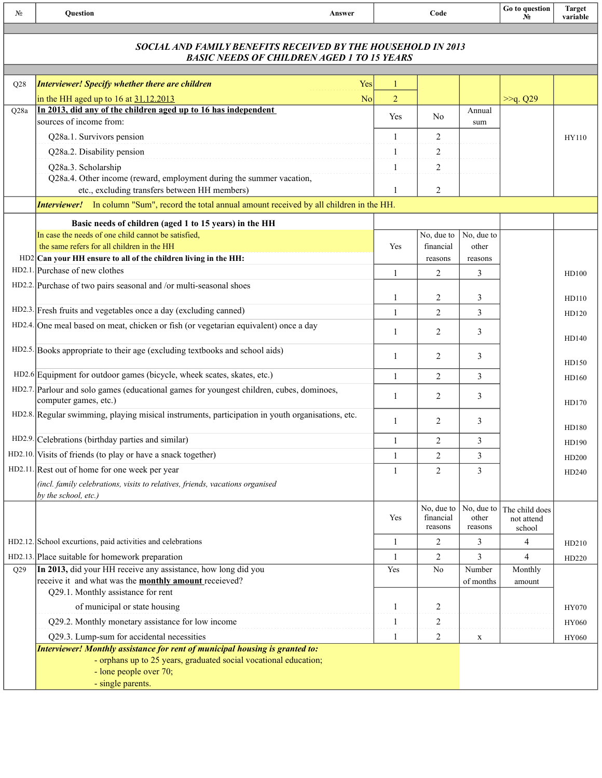| No              | Question<br>Answer                                                                                                                                                                              |                | Code                               |                                | Go to question<br>$N_2$                | <b>Target</b><br>variable |
|-----------------|-------------------------------------------------------------------------------------------------------------------------------------------------------------------------------------------------|----------------|------------------------------------|--------------------------------|----------------------------------------|---------------------------|
|                 | SOCIAL AND FAMILY BENEFITS RECEIVED BY THE HOUSEHOLD IN 2013<br><b>BASIC NEEDS OF CHILDREN AGED 1 TO 15 YEARS</b>                                                                               |                |                                    |                                |                                        |                           |
| Q28             | <b>Interviewer! Specify whether there are children</b><br>Yes                                                                                                                                   | 1              |                                    |                                |                                        |                           |
|                 | in the HH aged up to $16$ at $31.12.2013$<br>N <sub>o</sub>                                                                                                                                     | $\overline{2}$ |                                    |                                | >>q. Q29                               |                           |
| Q28a            | In 2013, did any of the children aged up to 16 has independent                                                                                                                                  |                |                                    | Annual                         |                                        |                           |
|                 | sources of income from:                                                                                                                                                                         | Yes            | N <sub>0</sub>                     | sum                            |                                        |                           |
|                 | Q28a.1. Survivors pension                                                                                                                                                                       | 1              | 2                                  |                                |                                        | HY110                     |
|                 | Q28a.2. Disability pension                                                                                                                                                                      | 1              | 2                                  |                                |                                        |                           |
|                 | Q28a.3. Scholarship                                                                                                                                                                             | 1              | 2                                  |                                |                                        |                           |
|                 | Q28a.4. Other income (reward, employment during the summer vacation,                                                                                                                            |                |                                    |                                |                                        |                           |
|                 | etc., excluding transfers between HH members)                                                                                                                                                   |                | 2                                  |                                |                                        |                           |
|                 | <b>Interviewer!</b> In column "Sum", record the total annual amount received by all children in the HH.                                                                                         |                |                                    |                                |                                        |                           |
|                 | Basic needs of children (aged 1 to 15 years) in the HH                                                                                                                                          |                |                                    |                                |                                        |                           |
|                 | In case the needs of one child cannot be satisfied,                                                                                                                                             |                | No, due to                         | No, due to                     |                                        |                           |
|                 | the same refers for all children in the HH                                                                                                                                                      | Yes            | financial                          | other                          |                                        |                           |
|                 | $HD2 Can your HH$ ensure to all of the children living in the HH:<br>HD2.1. Purchase of new clothes                                                                                             |                | reasons                            | reasons                        |                                        |                           |
|                 | HD2.2. Purchase of two pairs seasonal and /or multi-seasonal shoes                                                                                                                              | 1              | $\overline{2}$                     | 3                              |                                        | HD100                     |
|                 |                                                                                                                                                                                                 | 1              | 2                                  | 3                              |                                        | HD110                     |
|                 | HD2.3. Fresh fruits and vegetables once a day (excluding canned)                                                                                                                                | 1              | 2                                  | 3                              |                                        | HD120                     |
|                 | HD2.4. One meal based on meat, chicken or fish (or vegetarian equivalent) once a day                                                                                                            |                |                                    |                                |                                        |                           |
|                 |                                                                                                                                                                                                 | 1              | 2                                  | 3                              |                                        | HD140                     |
|                 | HD2.5. Books appropriate to their age (excluding textbooks and school aids)                                                                                                                     | 1              | 2                                  | 3                              |                                        |                           |
|                 |                                                                                                                                                                                                 |                |                                    |                                |                                        | HD150                     |
|                 | HD2.6 Equipment for outdoor games (bicycle, wheek scates, skates, etc.)                                                                                                                         | $\mathbf{1}$   | $\overline{2}$                     | 3                              |                                        | HD160                     |
|                 | HD2.7. Parlour and solo games (educational games for youngest children, cubes, dominoes,<br>computer games, etc.)                                                                               | 1              | $\overline{2}$                     | 3                              |                                        | HD170                     |
|                 | HD2.8. Regular swimming, playing misical instruments, participation in youth organisations, etc.                                                                                                | 1              | 2                                  | 3                              |                                        | HD180                     |
|                 | HD2.9. Celebrations (birthday parties and similar)                                                                                                                                              | $\mathbf{1}$   | 2                                  | 3                              |                                        | HD190                     |
|                 | HD2.10. Visits of friends (to play or have a snack together)                                                                                                                                    | 1              | $\overline{2}$                     | 3                              |                                        | HD200                     |
|                 | HD2.11. Rest out of home for one week per year                                                                                                                                                  | 1              | $\overline{2}$                     | 3                              |                                        | HD240                     |
|                 | (incl. family celebrations, visits to relatives, friends, vacations organised                                                                                                                   |                |                                    |                                |                                        |                           |
|                 | by the school, etc.)                                                                                                                                                                            | Yes            | No, due to<br>financial<br>reasons | No, due to<br>other<br>reasons | The child does<br>not attend<br>school |                           |
|                 | HD2.12. School excurtions, paid activities and celebrations                                                                                                                                     | $\mathbf{1}$   | 2                                  | 3                              | 4                                      | HD210                     |
|                 | HD2.13. Place suitable for homework preparation                                                                                                                                                 | $\mathbf{1}$   | 2                                  | 3                              | 4                                      | HD220                     |
| O <sub>29</sub> | In 2013, did your HH receive any assistance, how long did you                                                                                                                                   | Yes            | N <sub>0</sub>                     | Number                         | Monthly                                |                           |
|                 | receive it and what was the <b>monthly amount</b> received?                                                                                                                                     |                |                                    | of months                      | amount                                 |                           |
|                 | Q29.1. Monthly assistance for rent                                                                                                                                                              |                |                                    |                                |                                        |                           |
|                 | of municipal or state housing                                                                                                                                                                   | 1              | 2                                  |                                |                                        | HY070                     |
|                 | Q29.2. Monthly monetary assistance for low income                                                                                                                                               | 1              | 2                                  |                                |                                        | HY060                     |
|                 | Q29.3. Lump-sum for accidental necessities                                                                                                                                                      | 1              | 2                                  | X                              |                                        | HY060                     |
|                 | Interviewer! Monthly assistance for rent of municipal housing is granted to:<br>- orphans up to 25 years, graduated social vocational education;<br>- lone people over 70;<br>- single parents. |                |                                    |                                |                                        |                           |
|                 |                                                                                                                                                                                                 |                |                                    |                                |                                        |                           |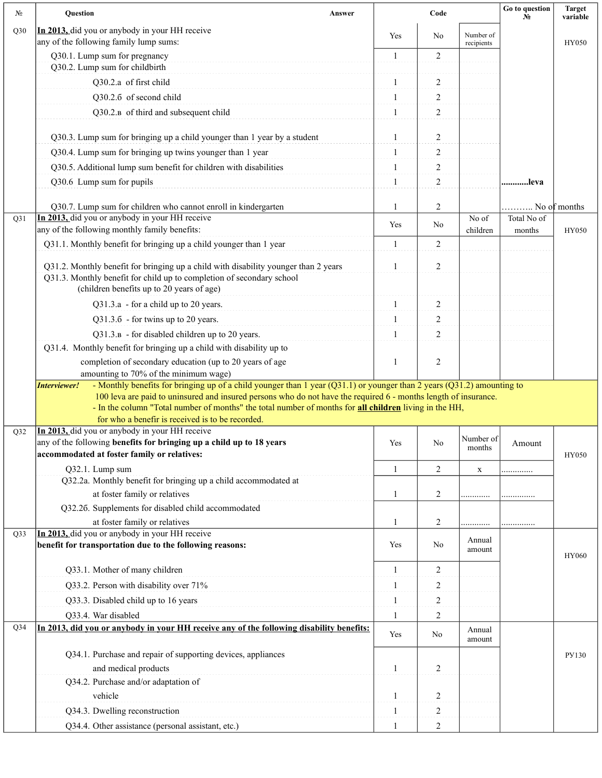| $N_2$           | Question                                                                                                                                                                                                                  | Answer |              | Code             |                         | Go to question<br>N <sub>2</sub> | <b>Target</b><br>variable |
|-----------------|---------------------------------------------------------------------------------------------------------------------------------------------------------------------------------------------------------------------------|--------|--------------|------------------|-------------------------|----------------------------------|---------------------------|
| Q30             | In 2013, did you or anybody in your HH receive<br>any of the following family lump sums:                                                                                                                                  |        | Yes          | No               | Number of<br>recipients |                                  | <b>HY050</b>              |
|                 | Q30.1. Lump sum for pregnancy<br>Q30.2. Lump sum for childbirth                                                                                                                                                           |        | 1            | $\overline{2}$   |                         |                                  |                           |
|                 | Q30.2.a of first child                                                                                                                                                                                                    |        | 1            | 2                |                         |                                  |                           |
|                 | Q30.2.6 of second child                                                                                                                                                                                                   |        | 1            | 2                |                         |                                  |                           |
|                 | Q30.2. <sub>B</sub> of third and subsequent child                                                                                                                                                                         |        | 1            | $\overline{c}$   |                         |                                  |                           |
|                 |                                                                                                                                                                                                                           |        |              |                  |                         |                                  |                           |
|                 | Q30.3. Lump sum for bringing up a child younger than 1 year by a student                                                                                                                                                  |        | 1            | $\boldsymbol{2}$ |                         |                                  |                           |
|                 | Q30.4. Lump sum for bringing up twins younger than 1 year                                                                                                                                                                 |        | 1            | $\overline{c}$   |                         |                                  |                           |
|                 | Q30.5. Additional lump sum benefit for children with disabilities                                                                                                                                                         |        | 1            | 2                |                         |                                  |                           |
|                 | Q30.6 Lump sum for pupils                                                                                                                                                                                                 |        | $\mathbf{1}$ | $\sqrt{2}$       |                         | leva                             |                           |
|                 | Q30.7. Lump sum for children who cannot enroll in kindergarten                                                                                                                                                            |        | 1            | $\overline{c}$   |                         |                                  | No of months              |
| Q31             | In 2013, did you or anybody in your HH receive                                                                                                                                                                            |        |              |                  | No of                   | Total No of                      |                           |
|                 | any of the following monthly family benefits:                                                                                                                                                                             |        | Yes          | No               | children                | months                           | HY050                     |
|                 | Q31.1. Monthly benefit for bringing up a child younger than 1 year                                                                                                                                                        |        | $\mathbf{1}$ | 2                |                         |                                  |                           |
|                 | Q31.2. Monthly benefit for bringing up a child with disability younger than 2 years<br>Q31.3. Monthly benefit for child up to completion of secondary school<br>(children benefits up to 20 years of age)                 |        | 1            | $\overline{2}$   |                         |                                  |                           |
|                 | Q31.3.a - for a child up to 20 years.                                                                                                                                                                                     |        | 1            | 2                |                         |                                  |                           |
|                 | Q31.3.6 - for twins up to 20 years.                                                                                                                                                                                       |        | 1            | 2                |                         |                                  |                           |
|                 | Q31.3.B - for disabled children up to 20 years.                                                                                                                                                                           |        | 1            | $\overline{2}$   |                         |                                  |                           |
|                 | Q31.4. Monthly benefit for bringing up a child with disability up to                                                                                                                                                      |        |              |                  |                         |                                  |                           |
|                 | completion of secondary education (up to 20 years of age                                                                                                                                                                  |        | 1            | $\overline{2}$   |                         |                                  |                           |
|                 | amounting to 70% of the minimum wage)<br>- Monthly benefits for bringing up of a child younger than 1 year (Q31.1) or younger than 2 years (Q31.2) amounting to<br>Interviewer!                                           |        |              |                  |                         |                                  |                           |
|                 | 100 leva are paid to uninsured and insured persons who do not have the required 6 - months length of insurance.<br>- In the column "Total number of months" the total number of months for all children living in the HH, |        |              |                  |                         |                                  |                           |
|                 | for who a benefir is received is to be recorded.                                                                                                                                                                          |        |              |                  |                         |                                  |                           |
| Q <sub>32</sub> | In 2013, did you or anybody in your HH receive<br>any of the following benefits for bringing up a child up to 18 years                                                                                                    |        |              |                  | Number of               |                                  |                           |
|                 | accommodated at foster family or relatives:                                                                                                                                                                               |        | Yes          | No               | months                  | Amount                           | HY050                     |
|                 | Q32.1. Lump sum                                                                                                                                                                                                           |        | 1            | 2                | $\mathbf X$             |                                  |                           |
|                 | Q32.2a. Monthly benefit for bringing up a child accommodated at                                                                                                                                                           |        |              |                  |                         |                                  |                           |
|                 | at foster family or relatives                                                                                                                                                                                             |        | 1            | 2                |                         |                                  |                           |
|                 | Q32.26. Supplements for disabled child accommodated                                                                                                                                                                       |        |              |                  |                         |                                  |                           |
|                 | at foster family or relatives                                                                                                                                                                                             |        | 1            | 2                | .                       |                                  |                           |
| Q33             | In 2013, did you or anybody in your HH receive<br>benefit for transportation due to the following reasons:                                                                                                                |        | Yes          | No               | Annual<br>amount        |                                  | <b>HY060</b>              |
|                 | Q33.1. Mother of many children                                                                                                                                                                                            |        | $\mathbf{1}$ | $\overline{c}$   |                         |                                  |                           |
|                 | Q33.2. Person with disability over 71%                                                                                                                                                                                    |        |              | 2                |                         |                                  |                           |
|                 | Q33.3. Disabled child up to 16 years                                                                                                                                                                                      |        | 1            | $\overline{c}$   |                         |                                  |                           |
|                 | Q33.4. War disabled                                                                                                                                                                                                       |        | 1            | $\overline{2}$   |                         |                                  |                           |
| $Q$ 34          | In 2013, did you or anybody in your HH receive any of the following disability benefits:                                                                                                                                  |        | Yes          | No               | Annual<br>amount        |                                  |                           |
|                 | Q34.1. Purchase and repair of supporting devices, appliances                                                                                                                                                              |        |              |                  |                         |                                  | PY130                     |
|                 | and medical products                                                                                                                                                                                                      |        | 1            | 2                |                         |                                  |                           |
|                 | Q34.2. Purchase and/or adaptation of                                                                                                                                                                                      |        |              |                  |                         |                                  |                           |
|                 | vehicle                                                                                                                                                                                                                   |        | 1            | 2                |                         |                                  |                           |
|                 | Q34.3. Dwelling reconstruction                                                                                                                                                                                            |        | 1            | 2                |                         |                                  |                           |
|                 | Q34.4. Other assistance (personal assistant, etc.)                                                                                                                                                                        |        | 1            | $\overline{2}$   |                         |                                  |                           |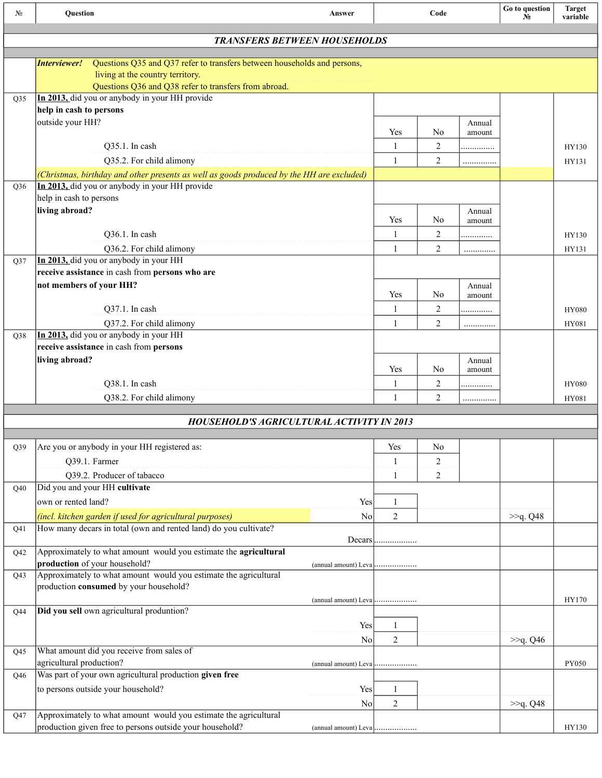| No              | <b>Ouestion</b>                                                                                                                                                                       | Answer         |                | Code           |        | Go to question<br>N° | <b>Target</b><br>variable |
|-----------------|---------------------------------------------------------------------------------------------------------------------------------------------------------------------------------------|----------------|----------------|----------------|--------|----------------------|---------------------------|
|                 | <b>TRANSFERS BETWEEN HOUSEHOLDS</b>                                                                                                                                                   |                |                |                |        |                      |                           |
|                 |                                                                                                                                                                                       |                |                |                |        |                      |                           |
|                 | Interviewer!<br>Questions Q35 and Q37 refer to transfers between households and persons,<br>living at the country territory.<br>Questions Q36 and Q38 refer to transfers from abroad. |                |                |                |        |                      |                           |
| O35             | In 2013, did you or anybody in your HH provide                                                                                                                                        |                |                |                |        |                      |                           |
|                 | help in cash to persons                                                                                                                                                               |                |                |                |        |                      |                           |
|                 | outside your HH?                                                                                                                                                                      |                | Yes            | N <sub>0</sub> | Annual |                      |                           |
|                 |                                                                                                                                                                                       |                |                |                | amount |                      |                           |
|                 | Q35.1. In cash                                                                                                                                                                        |                | $\mathbf{1}$   | $\overline{c}$ | .      |                      | HY130                     |
|                 | Q35.2. For child alimony                                                                                                                                                              |                | 1              | 2              | .      |                      | HY131                     |
| Q36             | (Christmas, birthday and other presents as well as goods produced by the HH are excluded)<br>In 2013, did you or anybody in your HH provide                                           |                |                |                |        |                      |                           |
|                 | help in cash to persons                                                                                                                                                               |                |                |                |        |                      |                           |
|                 | living abroad?                                                                                                                                                                        |                |                |                | Annual |                      |                           |
|                 |                                                                                                                                                                                       |                | Yes            | N <sub>0</sub> | amount |                      |                           |
|                 | Q36.1. In cash                                                                                                                                                                        |                | 1              | 2              | .      |                      | HY130                     |
|                 | Q36.2. For child alimony                                                                                                                                                              |                | $\mathbf{1}$   | $\overline{2}$ | .      |                      | HY131                     |
| Q <sub>37</sub> | In 2013, did you or anybody in your HH                                                                                                                                                |                |                |                |        |                      |                           |
|                 | receive assistance in cash from persons who are                                                                                                                                       |                |                |                |        |                      |                           |
|                 | not members of your HH?                                                                                                                                                               |                |                |                | Annual |                      |                           |
|                 |                                                                                                                                                                                       |                | Yes            | N <sub>0</sub> | amount |                      |                           |
|                 | Q37.1. In cash                                                                                                                                                                        |                | $\mathbf{1}$   | 2              | .      |                      | <b>HY080</b>              |
|                 | Q37.2. For child alimony                                                                                                                                                              |                | 1              | 2              | .      |                      | HY081                     |
| Q38             | In 2013, did you or anybody in your HH<br>receive assistance in cash from persons                                                                                                     |                |                |                |        |                      |                           |
|                 | living abroad?                                                                                                                                                                        |                |                |                | Annual |                      |                           |
|                 |                                                                                                                                                                                       |                | Yes            | N <sub>0</sub> | amount |                      |                           |
|                 | Q38.1. In cash                                                                                                                                                                        |                | $\mathbf{1}$   | $\overline{c}$ | .      |                      | <b>HY080</b>              |
|                 | Q38.2. For child alimony                                                                                                                                                              |                | $\mathbf{1}$   | 2              | .      |                      | HY081                     |
|                 |                                                                                                                                                                                       |                |                |                |        |                      |                           |
|                 | <b>HOUSEHOLD'S AGRICULTURAL ACTIVITY IN 2013</b>                                                                                                                                      |                |                |                |        |                      |                           |
| Q39             | Are you or anybody in your HH registered as:                                                                                                                                          |                | Yes            | No             |        |                      |                           |
|                 | Q39.1. Farmer                                                                                                                                                                         |                | $\mathbf{1}$   | 2              |        |                      |                           |
|                 | Q39.2. Producer of tabacco                                                                                                                                                            |                | 1              | 2              |        |                      |                           |
| Q40             | Did you and your HH cultivate                                                                                                                                                         |                |                |                |        |                      |                           |
|                 | own or rented land?                                                                                                                                                                   | Yes            | 1              |                |        |                      |                           |
|                 | (incl. kitchen garden if used for agricultural purposes)                                                                                                                              | No             | $\overline{c}$ |                |        | >>q. Q48             |                           |
| Q41             | How many decars in total (own and rented land) do you cultivate?                                                                                                                      |                |                |                |        |                      |                           |
|                 |                                                                                                                                                                                       |                | Decars         |                |        |                      |                           |
| Q42             | Approximately to what amount would you estimate the agricultural                                                                                                                      |                |                |                |        |                      |                           |
|                 | production of your household?                                                                                                                                                         |                |                |                |        |                      |                           |
| Q <sub>43</sub> | Approximately to what amount would you estimate the agricultural                                                                                                                      |                |                |                |        |                      |                           |
|                 | production consumed by your household?                                                                                                                                                |                |                |                |        |                      | HY170                     |
| Q44             | Did you sell own agricultural produntion?                                                                                                                                             |                |                |                |        |                      |                           |
|                 |                                                                                                                                                                                       | Yes            | 1              |                |        |                      |                           |
|                 |                                                                                                                                                                                       | No             | 2              |                |        | >>q. Q46             |                           |
| Q <sub>45</sub> | What amount did you receive from sales of                                                                                                                                             |                |                |                |        |                      |                           |
|                 | agricultural production?                                                                                                                                                              |                |                |                |        |                      | <b>PY050</b>              |
| Q46             | Was part of your own agricultural production given free                                                                                                                               |                |                |                |        |                      |                           |
|                 | to persons outside your household?                                                                                                                                                    | Yes            | 1              |                |        |                      |                           |
|                 |                                                                                                                                                                                       | N <sub>o</sub> | $\overline{c}$ |                |        | >>q. Q48             |                           |
| Q47             | Approximately to what amount would you estimate the agricultural                                                                                                                      |                |                |                |        |                      |                           |
|                 | production given free to persons outside your household?                                                                                                                              |                |                |                |        |                      | HY130                     |